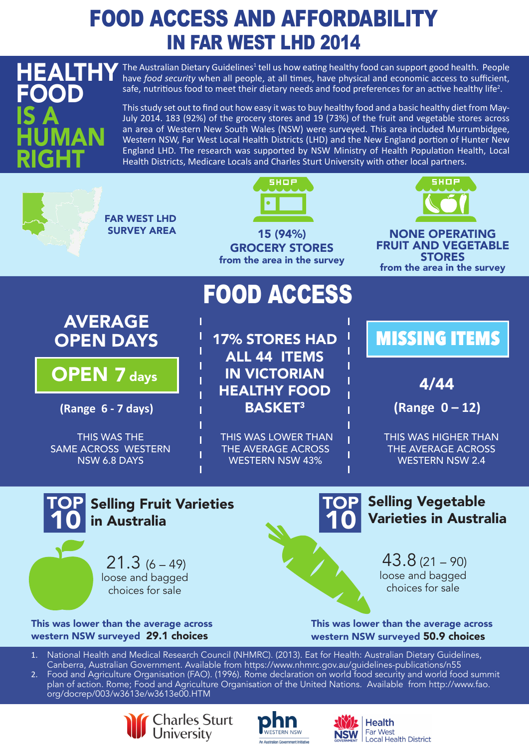## FOOD ACCESS AND AFFORDABILITY IN FAR WEST LHD 2014

FOOD

GI

HUMAN

IS A

HEALTHY The Australian Dietary Guidelines<sup>1</sup> tell us how eating healthy food can support good health. People have *food security* when all people, at all times, have physical and economic access to sufficient, safe, nutritious food to meet their dietary needs and food preferences for an active healthy life<sup>2</sup>.

> This study set out to find out how easy it was to buy healthy food and a basic healthy diet from May-July 2014. 183 (92%) of the grocery stores and 19 (73%) of the fruit and vegetable stores across an area of Western New South Wales (NSW) were surveyed. This area included Murrumbidgee, Western NSW, Far West Local Health Districts (LHD) and the New England portion of Hunter New England LHD. The research was supported by NSW Ministry of Health Population Health, Local Health Districts, Medicare Locals and Charles Sturt University with other local partners.









**Health** Far West Local Health District